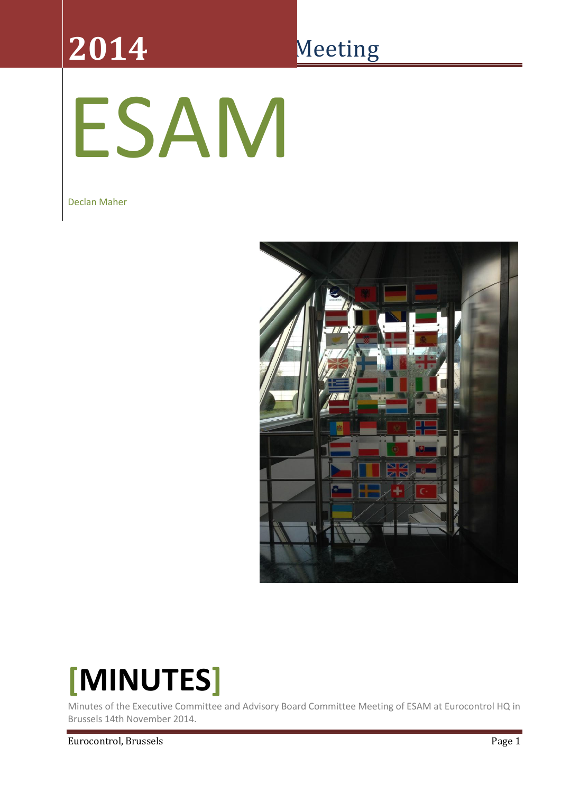# **2014**

## Meeting

# ESAM

Declan Maher



## **[MINUTES]**

Minutes of the Executive Committee and Advisory Board Committee Meeting of ESAM at Eurocontrol HQ in Brussels 14th November 2014.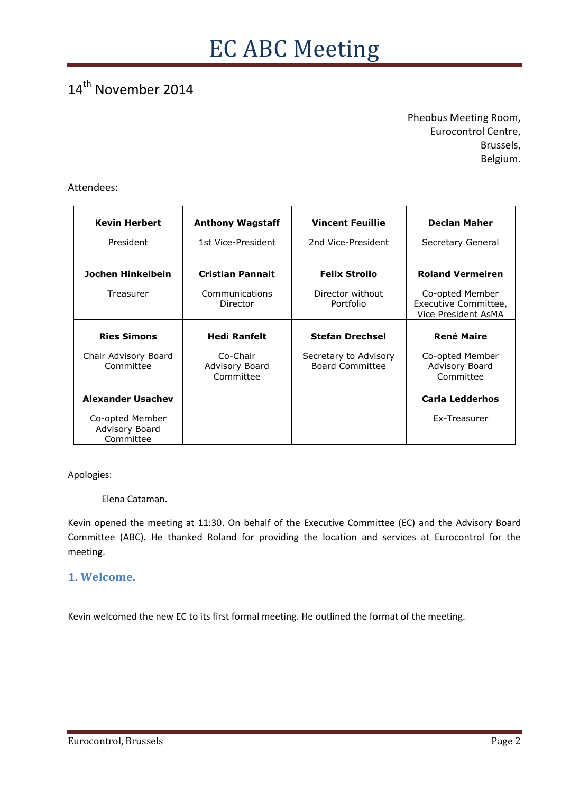#### 14<sup>th</sup> November 2014

Pheobus Meeting Room, Eurocontrol Centre, Brussels, Belgium.

#### Attendees:

| <b>Kevin Herbert</b>                           | <b>Anthony Wagstaff</b>                 | <b>Vincent Feuillie</b>                         | <b>Declan Maher</b>                                            |
|------------------------------------------------|-----------------------------------------|-------------------------------------------------|----------------------------------------------------------------|
| President                                      | 1st Vice-President                      | 2nd Vice-President                              | Secretary General                                              |
| Jochen Hinkelbein                              | <b>Cristian Pannait</b>                 | <b>Felix Strollo</b>                            | <b>Roland Vermeiren</b>                                        |
| Treasurer                                      | Communications<br>Director              | Director without<br>Portfolio                   | Co-opted Member<br>Executive Committee,<br>Vice President AsMA |
| <b>Ries Simons</b>                             | <b>Hedi Ranfelt</b>                     | <b>Stefan Drechsel</b>                          | <b>René Maire</b>                                              |
| Chair Advisory Board<br>Committee              | Co-Chair<br>Advisory Board<br>Committee | Secretary to Advisory<br><b>Board Committee</b> | Co-opted Member<br>Advisory Board<br>Committee                 |
| <b>Alexander Usachev</b>                       |                                         |                                                 | <b>Carla Ledderhos</b>                                         |
| Co-opted Member<br>Advisory Board<br>Committee |                                         |                                                 | Ex-Treasurer                                                   |

Apologies:

Elena Cataman.

Kevin opened the meeting at 11:30. On behalf of the Executive Committee (EC) and the Advisory Board Committee (ABC). He thanked Roland for providing the location and services at Eurocontrol for the meeting.

#### **1. Welcome.**

Kevin welcomed the new EC to its first formal meeting. He outlined the format of the meeting.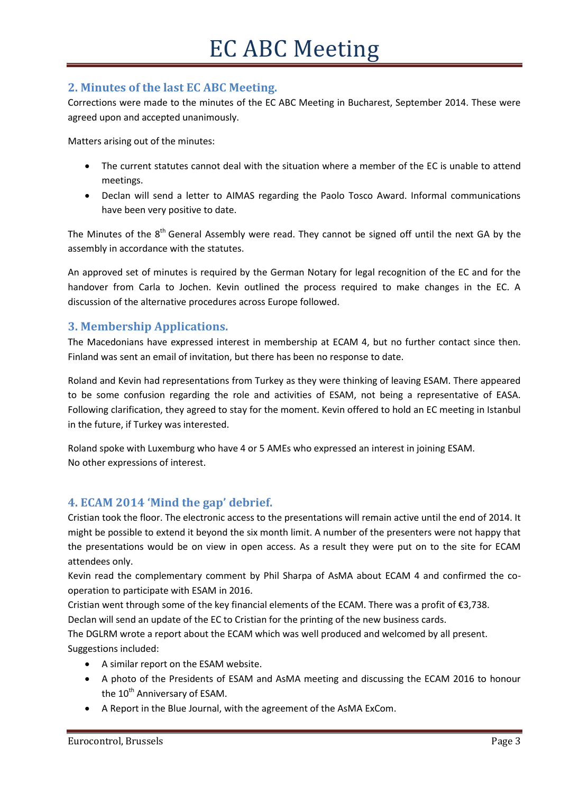#### **2. Minutes of the last EC ABC Meeting.**

Corrections were made to the minutes of the EC ABC Meeting in Bucharest, September 2014. These were agreed upon and accepted unanimously.

Matters arising out of the minutes:

- The current statutes cannot deal with the situation where a member of the EC is unable to attend meetings.
- Declan will send a letter to AIMAS regarding the Paolo Tosco Award. Informal communications have been very positive to date.

The Minutes of the  $8<sup>th</sup>$  General Assembly were read. They cannot be signed off until the next GA by the assembly in accordance with the statutes.

An approved set of minutes is required by the German Notary for legal recognition of the EC and for the handover from Carla to Jochen. Kevin outlined the process required to make changes in the EC. A discussion of the alternative procedures across Europe followed.

#### **3. Membership Applications.**

The Macedonians have expressed interest in membership at ECAM 4, but no further contact since then. Finland was sent an email of invitation, but there has been no response to date.

Roland and Kevin had representations from Turkey as they were thinking of leaving ESAM. There appeared to be some confusion regarding the role and activities of ESAM, not being a representative of EASA. Following clarification, they agreed to stay for the moment. Kevin offered to hold an EC meeting in Istanbul in the future, if Turkey was interested.

Roland spoke with Luxemburg who have 4 or 5 AMEs who expressed an interest in joining ESAM. No other expressions of interest.

#### **4. ECAM 2014 'Mind the gap' debrief.**

Cristian took the floor. The electronic access to the presentations will remain active until the end of 2014. It might be possible to extend it beyond the six month limit. A number of the presenters were not happy that the presentations would be on view in open access. As a result they were put on to the site for ECAM attendees only.

Kevin read the complementary comment by Phil Sharpa of AsMA about ECAM 4 and confirmed the cooperation to participate with ESAM in 2016.

Cristian went through some of the key financial elements of the ECAM. There was a profit of  $\epsilon$ 3,738. Declan will send an update of the EC to Cristian for the printing of the new business cards.

The DGLRM wrote a report about the ECAM which was well produced and welcomed by all present. Suggestions included:

- A similar report on the ESAM website.
- A photo of the Presidents of ESAM and AsMA meeting and discussing the ECAM 2016 to honour the  $10^{th}$  Anniversary of ESAM.
- A Report in the Blue Journal, with the agreement of the AsMA ExCom.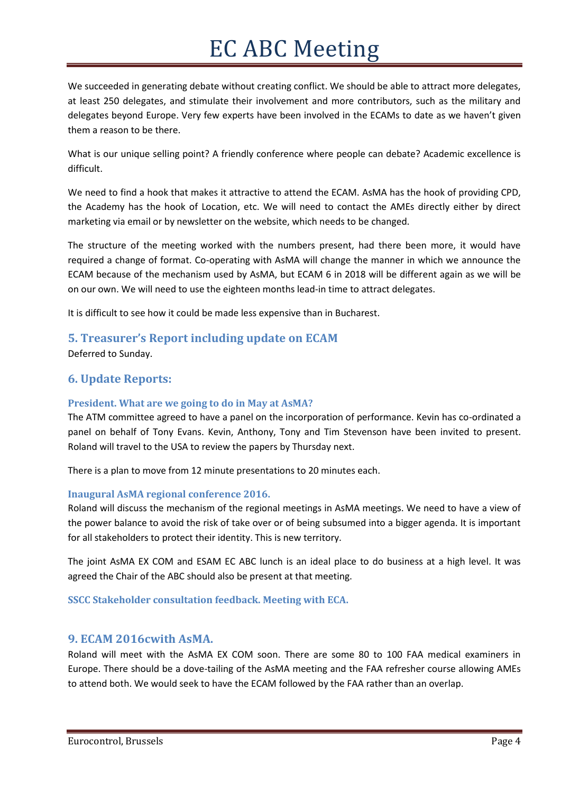We succeeded in generating debate without creating conflict. We should be able to attract more delegates, at least 250 delegates, and stimulate their involvement and more contributors, such as the military and delegates beyond Europe. Very few experts have been involved in the ECAMs to date as we haven't given them a reason to be there.

What is our unique selling point? A friendly conference where people can debate? Academic excellence is difficult.

We need to find a hook that makes it attractive to attend the ECAM. AsMA has the hook of providing CPD, the Academy has the hook of Location, etc. We will need to contact the AMEs directly either by direct marketing via email or by newsletter on the website, which needs to be changed.

The structure of the meeting worked with the numbers present, had there been more, it would have required a change of format. Co-operating with AsMA will change the manner in which we announce the ECAM because of the mechanism used by AsMA, but ECAM 6 in 2018 will be different again as we will be on our own. We will need to use the eighteen months lead-in time to attract delegates.

It is difficult to see how it could be made less expensive than in Bucharest.

#### **5. Treasurer's Report including update on ECAM**

Deferred to Sunday.

#### **6. Update Reports:**

#### **President. What are we going to do in May at AsMA?**

The ATM committee agreed to have a panel on the incorporation of performance. Kevin has co-ordinated a panel on behalf of Tony Evans. Kevin, Anthony, Tony and Tim Stevenson have been invited to present. Roland will travel to the USA to review the papers by Thursday next.

There is a plan to move from 12 minute presentations to 20 minutes each.

#### **Inaugural AsMA regional conference 2016.**

Roland will discuss the mechanism of the regional meetings in AsMA meetings. We need to have a view of the power balance to avoid the risk of take over or of being subsumed into a bigger agenda. It is important for all stakeholders to protect their identity. This is new territory.

The joint AsMA EX COM and ESAM EC ABC lunch is an ideal place to do business at a high level. It was agreed the Chair of the ABC should also be present at that meeting.

**SSCC Stakeholder consultation feedback. Meeting with ECA.**

#### **9. ECAM 2016cwith AsMA.**

Roland will meet with the AsMA EX COM soon. There are some 80 to 100 FAA medical examiners in Europe. There should be a dove-tailing of the AsMA meeting and the FAA refresher course allowing AMEs to attend both. We would seek to have the ECAM followed by the FAA rather than an overlap.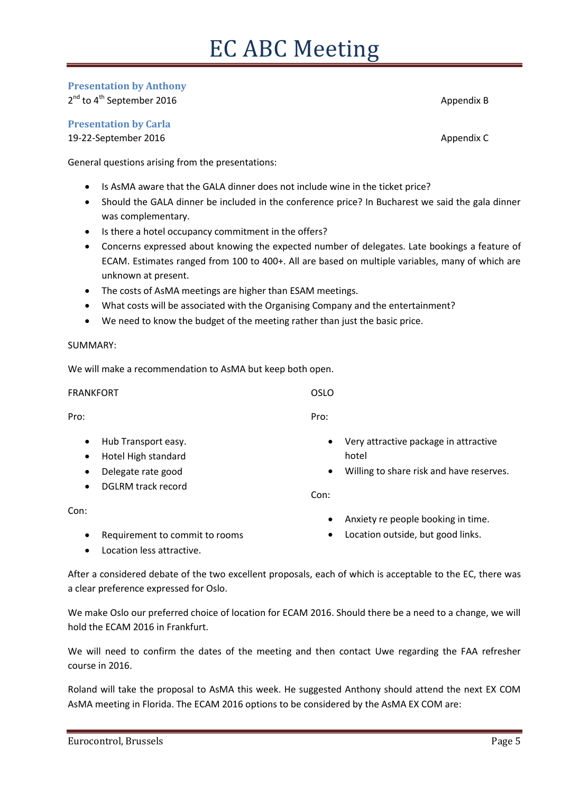#### **Presentation by Anthony**

 $2^{nd}$  to  $4^{th}$  September 2016  $\hspace{2cm}$  Appendix B

**Presentation by Carla**

19-22-September 2016 **Appendix C** and the separative of the separative of the separative of the separative of the separative of the separative of the separative of the separative of the separative of the separative of the

General questions arising from the presentations:

- Is AsMA aware that the GALA dinner does not include wine in the ticket price?
- Should the GALA dinner be included in the conference price? In Bucharest we said the gala dinner was complementary.
- Is there a hotel occupancy commitment in the offers?
- Concerns expressed about knowing the expected number of delegates. Late bookings a feature of ECAM. Estimates ranged from 100 to 400+. All are based on multiple variables, many of which are unknown at present.
- The costs of AsMA meetings are higher than ESAM meetings.
- What costs will be associated with the Organising Company and the entertainment?
- We need to know the budget of the meeting rather than just the basic price.

#### SUMMARY:

We will make a recommendation to AsMA but keep both open.

FRANKFORT Pro: • Hub Transport easy. Hotel High standard Delegate rate good DGLRM track record Con: OSLO Pro: Very attractive package in attractive hotel Willing to share risk and have reserves. Con:

- Requirement to commit to rooms
- Location less attractive.

After a considered debate of the two excellent proposals, each of which is acceptable to the EC, there was a clear preference expressed for Oslo.

We make Oslo our preferred choice of location for ECAM 2016. Should there be a need to a change, we will hold the ECAM 2016 in Frankfurt.

We will need to confirm the dates of the meeting and then contact Uwe regarding the FAA refresher course in 2016.

Roland will take the proposal to AsMA this week. He suggested Anthony should attend the next EX COM AsMA meeting in Florida. The ECAM 2016 options to be considered by the AsMA EX COM are:

- Anxiety re people booking in time.
- Location outside, but good links.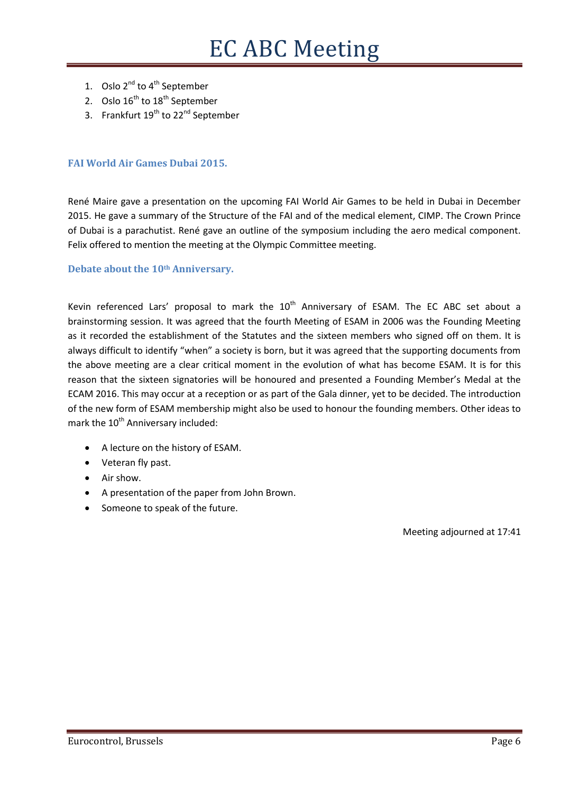- 1. Oslo  $2^{nd}$  to  $4^{th}$  September
- 2. Oslo  $16^{th}$  to  $18^{th}$  September
- 3. Frankfurt 19<sup>th</sup> to 22<sup>nd</sup> September

#### **FAI World Air Games Dubai 2015.**

René Maire gave a presentation on the upcoming FAI World Air Games to be held in Dubai in December 2015. He gave a summary of the Structure of the FAI and of the medical element, CIMP. The Crown Prince of Dubai is a parachutist. René gave an outline of the symposium including the aero medical component. Felix offered to mention the meeting at the Olympic Committee meeting.

#### **Debate about the 10th Anniversary.**

Kevin referenced Lars' proposal to mark the  $10<sup>th</sup>$  Anniversary of ESAM. The EC ABC set about a brainstorming session. It was agreed that the fourth Meeting of ESAM in 2006 was the Founding Meeting as it recorded the establishment of the Statutes and the sixteen members who signed off on them. It is always difficult to identify "when" a society is born, but it was agreed that the supporting documents from the above meeting are a clear critical moment in the evolution of what has become ESAM. It is for this reason that the sixteen signatories will be honoured and presented a Founding Member's Medal at the ECAM 2016. This may occur at a reception or as part of the Gala dinner, yet to be decided. The introduction of the new form of ESAM membership might also be used to honour the founding members. Other ideas to mark the 10<sup>th</sup> Anniversary included:

- A lecture on the history of ESAM.
- Veteran fly past.
- Air show.
- A presentation of the paper from John Brown.
- Someone to speak of the future.

Meeting adjourned at 17:41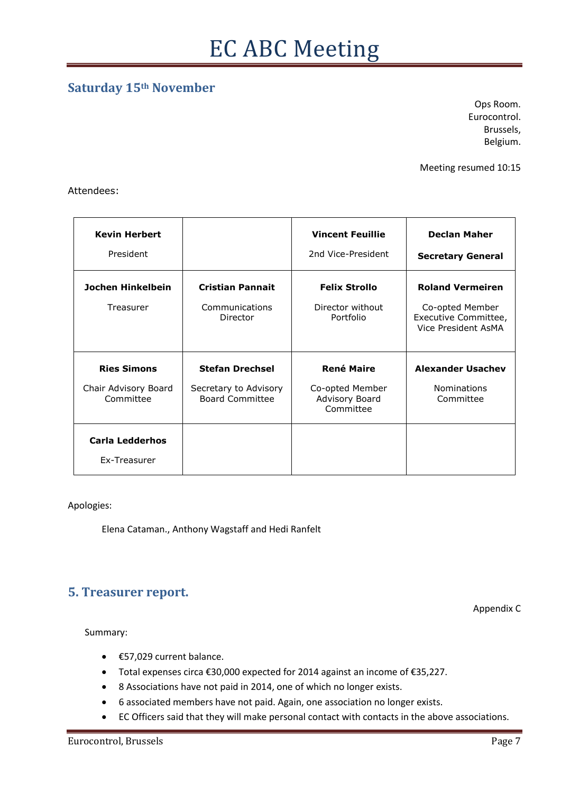#### **Saturday 15th November**

Ops Room. Eurocontrol. Brussels, Belgium.

Meeting resumed 10:15

Attendees:

| <b>Kevin Herbert</b><br>President                       |                                                                           | <b>Vincent Feuillie</b><br>2nd Vice-President                       | <b>Declan Maher</b><br><b>Secretary General</b>                                           |
|---------------------------------------------------------|---------------------------------------------------------------------------|---------------------------------------------------------------------|-------------------------------------------------------------------------------------------|
| Jochen Hinkelbein<br>Treasurer                          | <b>Cristian Pannait</b><br>Communications<br>Director                     | <b>Felix Strollo</b><br>Director without<br>Portfolio               | <b>Roland Vermeiren</b><br>Co-opted Member<br>Executive Committee,<br>Vice President AsMA |
| <b>Ries Simons</b><br>Chair Advisory Board<br>Committee | <b>Stefan Drechsel</b><br>Secretary to Advisory<br><b>Board Committee</b> | <b>René Maire</b><br>Co-opted Member<br>Advisory Board<br>Committee | <b>Alexander Usachev</b><br><b>Nominations</b><br>Committee                               |
| <b>Carla Ledderhos</b><br>Ex-Treasurer                  |                                                                           |                                                                     |                                                                                           |

Apologies:

Elena Cataman., Anthony Wagstaff and Hedi Ranfelt

#### **5. Treasurer report.**

Appendix C

Summary:

- €57,029 current balance.
- Total expenses circa €30,000 expected for 2014 against an income of €35,227.
- 8 Associations have not paid in 2014, one of which no longer exists.
- 6 associated members have not paid. Again, one association no longer exists.
- EC Officers said that they will make personal contact with contacts in the above associations.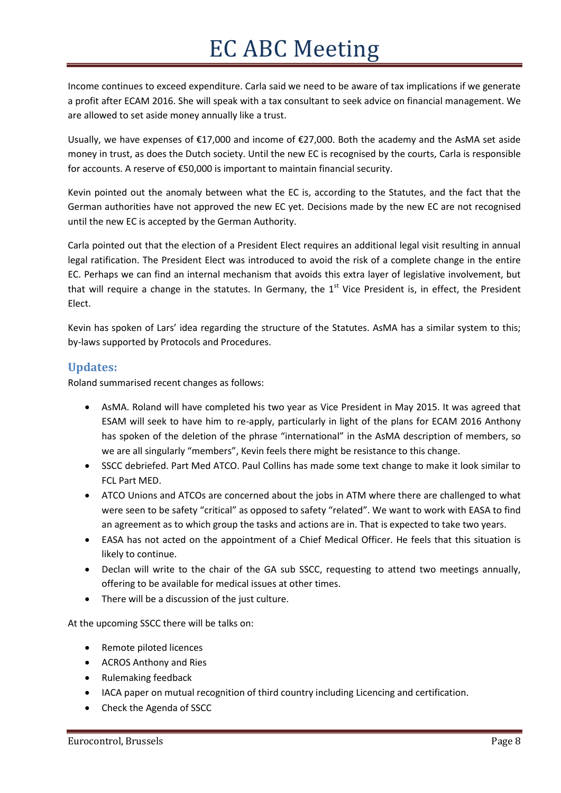Income continues to exceed expenditure. Carla said we need to be aware of tax implications if we generate a profit after ECAM 2016. She will speak with a tax consultant to seek advice on financial management. We are allowed to set aside money annually like a trust.

Usually, we have expenses of €17,000 and income of €27,000. Both the academy and the AsMA set aside money in trust, as does the Dutch society. Until the new EC is recognised by the courts, Carla is responsible for accounts. A reserve of €50,000 is important to maintain financial security.

Kevin pointed out the anomaly between what the EC is, according to the Statutes, and the fact that the German authorities have not approved the new EC yet. Decisions made by the new EC are not recognised until the new EC is accepted by the German Authority.

Carla pointed out that the election of a President Elect requires an additional legal visit resulting in annual legal ratification. The President Elect was introduced to avoid the risk of a complete change in the entire EC. Perhaps we can find an internal mechanism that avoids this extra layer of legislative involvement, but that will require a change in the statutes. In Germany, the  $1<sup>st</sup>$  Vice President is, in effect, the President Elect.

Kevin has spoken of Lars' idea regarding the structure of the Statutes. AsMA has a similar system to this; by-laws supported by Protocols and Procedures.

#### **Updates:**

Roland summarised recent changes as follows:

- AsMA. Roland will have completed his two year as Vice President in May 2015. It was agreed that ESAM will seek to have him to re-apply, particularly in light of the plans for ECAM 2016 Anthony has spoken of the deletion of the phrase "international" in the AsMA description of members, so we are all singularly "members", Kevin feels there might be resistance to this change.
- SSCC debriefed. Part Med ATCO. Paul Collins has made some text change to make it look similar to FCL Part MED.
- ATCO Unions and ATCOs are concerned about the jobs in ATM where there are challenged to what were seen to be safety "critical" as opposed to safety "related". We want to work with EASA to find an agreement as to which group the tasks and actions are in. That is expected to take two years.
- EASA has not acted on the appointment of a Chief Medical Officer. He feels that this situation is likely to continue.
- Declan will write to the chair of the GA sub SSCC, requesting to attend two meetings annually, offering to be available for medical issues at other times.
- There will be a discussion of the just culture.

At the upcoming SSCC there will be talks on:

- Remote piloted licences
- ACROS Anthony and Ries
- Rulemaking feedback
- IACA paper on mutual recognition of third country including Licencing and certification.
- Check the Agenda of SSCC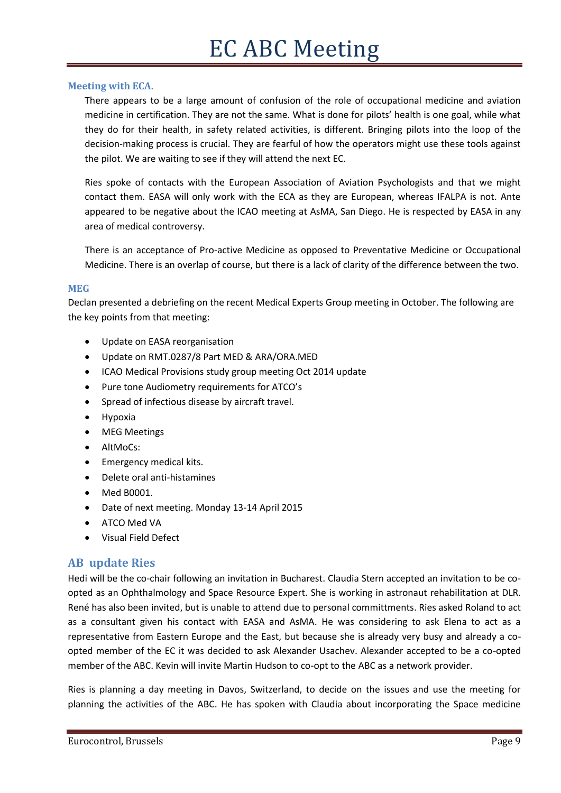#### **Meeting with ECA.**

There appears to be a large amount of confusion of the role of occupational medicine and aviation medicine in certification. They are not the same. What is done for pilots' health is one goal, while what they do for their health, in safety related activities, is different. Bringing pilots into the loop of the decision-making process is crucial. They are fearful of how the operators might use these tools against the pilot. We are waiting to see if they will attend the next EC.

Ries spoke of contacts with the European Association of Aviation Psychologists and that we might contact them. EASA will only work with the ECA as they are European, whereas IFALPA is not. Ante appeared to be negative about the ICAO meeting at AsMA, San Diego. He is respected by EASA in any area of medical controversy.

There is an acceptance of Pro-active Medicine as opposed to Preventative Medicine or Occupational Medicine. There is an overlap of course, but there is a lack of clarity of the difference between the two.

#### **MEG**

Declan presented a debriefing on the recent Medical Experts Group meeting in October. The following are the key points from that meeting:

- Update on EASA reorganisation
- Update on RMT.0287/8 Part MED & ARA/ORA.MED
- ICAO Medical Provisions study group meeting Oct 2014 update
- Pure tone Audiometry requirements for ATCO's
- Spread of infectious disease by aircraft travel.
- Hypoxia
- MEG Meetings
- AltMoCs:
- **•** Emergency medical kits.
- Delete oral anti-histamines
- Med B0001.
- Date of next meeting. Monday 13-14 April 2015
- ATCO Med VA
- Visual Field Defect

#### **AB update Ries**

Hedi will be the co-chair following an invitation in Bucharest. Claudia Stern accepted an invitation to be coopted as an Ophthalmology and Space Resource Expert. She is working in astronaut rehabilitation at DLR. René has also been invited, but is unable to attend due to personal committments. Ries asked Roland to act as a consultant given his contact with EASA and AsMA. He was considering to ask Elena to act as a representative from Eastern Europe and the East, but because she is already very busy and already a coopted member of the EC it was decided to ask Alexander Usachev. Alexander accepted to be a co-opted member of the ABC. Kevin will invite Martin Hudson to co-opt to the ABC as a network provider.

Ries is planning a day meeting in Davos, Switzerland, to decide on the issues and use the meeting for planning the activities of the ABC. He has spoken with Claudia about incorporating the Space medicine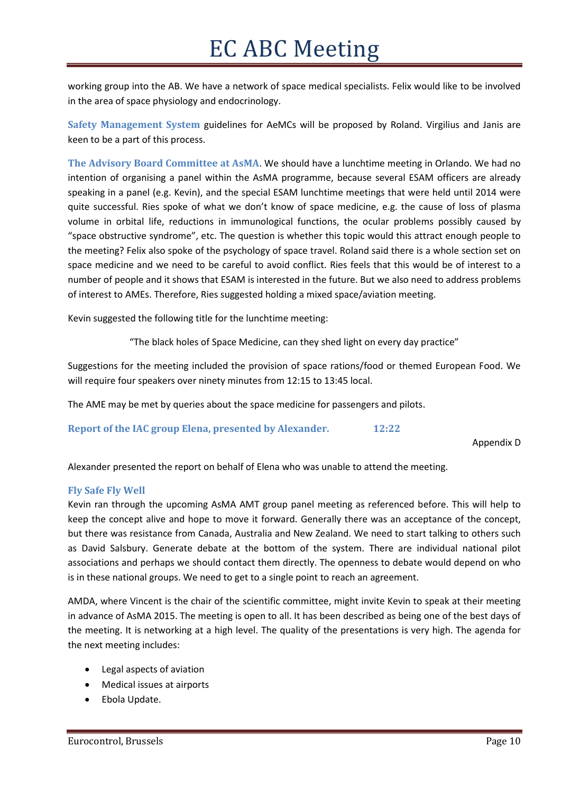working group into the AB. We have a network of space medical specialists. Felix would like to be involved in the area of space physiology and endocrinology.

**Safety Management System** guidelines for AeMCs will be proposed by Roland. Virgilius and Janis are keen to be a part of this process.

**The Advisory Board Committee at AsMA**. We should have a lunchtime meeting in Orlando. We had no intention of organising a panel within the AsMA programme, because several ESAM officers are already speaking in a panel (e.g. Kevin), and the special ESAM lunchtime meetings that were held until 2014 were quite successful. Ries spoke of what we don't know of space medicine, e.g. the cause of loss of plasma volume in orbital life, reductions in immunological functions, the ocular problems possibly caused by "space obstructive syndrome", etc. The question is whether this topic would this attract enough people to the meeting? Felix also spoke of the psychology of space travel. Roland said there is a whole section set on space medicine and we need to be careful to avoid conflict. Ries feels that this would be of interest to a number of people and it shows that ESAM is interested in the future. But we also need to address problems of interest to AMEs. Therefore, Ries suggested holding a mixed space/aviation meeting.

Kevin suggested the following title for the lunchtime meeting:

"The black holes of Space Medicine, can they shed light on every day practice"

Suggestions for the meeting included the provision of space rations/food or themed European Food. We will require four speakers over ninety minutes from 12:15 to 13:45 local.

The AME may be met by queries about the space medicine for passengers and pilots.

**Report of the IAC group Elena, presented by Alexander. 12:22**

Appendix D

Alexander presented the report on behalf of Elena who was unable to attend the meeting.

#### **Fly Safe Fly Well**

Kevin ran through the upcoming AsMA AMT group panel meeting as referenced before. This will help to keep the concept alive and hope to move it forward. Generally there was an acceptance of the concept, but there was resistance from Canada, Australia and New Zealand. We need to start talking to others such as David Salsbury. Generate debate at the bottom of the system. There are individual national pilot associations and perhaps we should contact them directly. The openness to debate would depend on who is in these national groups. We need to get to a single point to reach an agreement.

AMDA, where Vincent is the chair of the scientific committee, might invite Kevin to speak at their meeting in advance of AsMA 2015. The meeting is open to all. It has been described as being one of the best days of the meeting. It is networking at a high level. The quality of the presentations is very high. The agenda for the next meeting includes:

- Legal aspects of aviation
- Medical issues at airports
- Ebola Update.